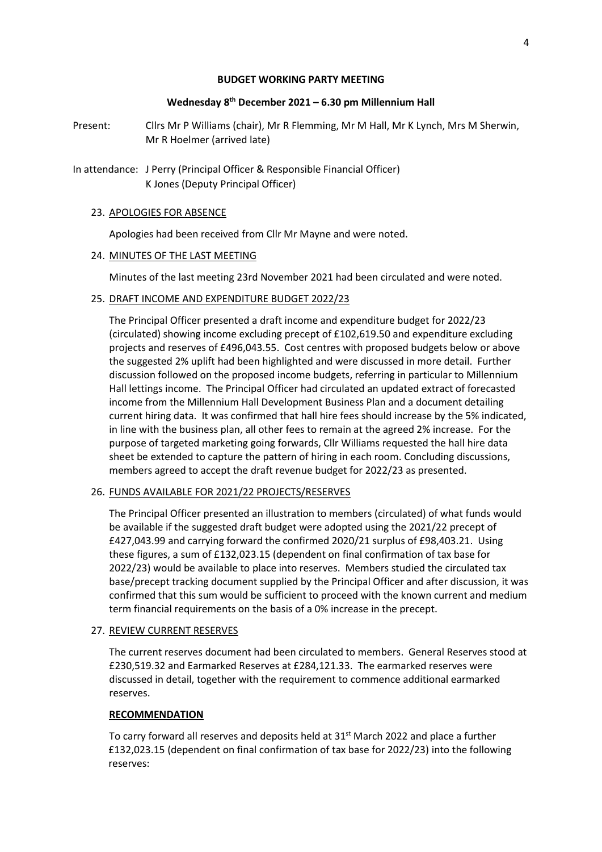## **BUDGET WORKING PARTY MEETING**

## **Wednesday 8 th December 2021 – 6.30 pm Millennium Hall**

- Present: Cllrs Mr P Williams (chair), Mr R Flemming, Mr M Hall, Mr K Lynch, Mrs M Sherwin, Mr R Hoelmer (arrived late)
- In attendance: J Perry (Principal Officer & Responsible Financial Officer) K Jones (Deputy Principal Officer)

#### 23. APOLOGIES FOR ABSENCE

Apologies had been received from Cllr Mr Mayne and were noted.

#### 24. MINUTES OF THE LAST MEETING

Minutes of the last meeting 23rd November 2021 had been circulated and were noted.

## 25. DRAFT INCOME AND EXPENDITURE BUDGET 2022/23

The Principal Officer presented a draft income and expenditure budget for 2022/23 (circulated) showing income excluding precept of £102,619.50 and expenditure excluding projects and reserves of £496,043.55. Cost centres with proposed budgets below or above the suggested 2% uplift had been highlighted and were discussed in more detail. Further discussion followed on the proposed income budgets, referring in particular to Millennium Hall lettings income. The Principal Officer had circulated an updated extract of forecasted income from the Millennium Hall Development Business Plan and a document detailing current hiring data. It was confirmed that hall hire fees should increase by the 5% indicated, in line with the business plan, all other fees to remain at the agreed 2% increase. For the purpose of targeted marketing going forwards, Cllr Williams requested the hall hire data sheet be extended to capture the pattern of hiring in each room. Concluding discussions, members agreed to accept the draft revenue budget for 2022/23 as presented.

## 26. FUNDS AVAILABLE FOR 2021/22 PROJECTS/RESERVES

The Principal Officer presented an illustration to members (circulated) of what funds would be available if the suggested draft budget were adopted using the 2021/22 precept of £427,043.99 and carrying forward the confirmed 2020/21 surplus of £98,403.21. Using these figures, a sum of £132,023.15 (dependent on final confirmation of tax base for 2022/23) would be available to place into reserves. Members studied the circulated tax base/precept tracking document supplied by the Principal Officer and after discussion, it was confirmed that this sum would be sufficient to proceed with the known current and medium term financial requirements on the basis of a 0% increase in the precept.

#### 27. REVIEW CURRENT RESERVES

The current reserves document had been circulated to members. General Reserves stood at £230,519.32 and Earmarked Reserves at £284,121.33. The earmarked reserves were discussed in detail, together with the requirement to commence additional earmarked reserves.

#### **RECOMMENDATION**

To carry forward all reserves and deposits held at  $31<sup>st</sup>$  March 2022 and place a further £132,023.15 (dependent on final confirmation of tax base for 2022/23) into the following reserves: